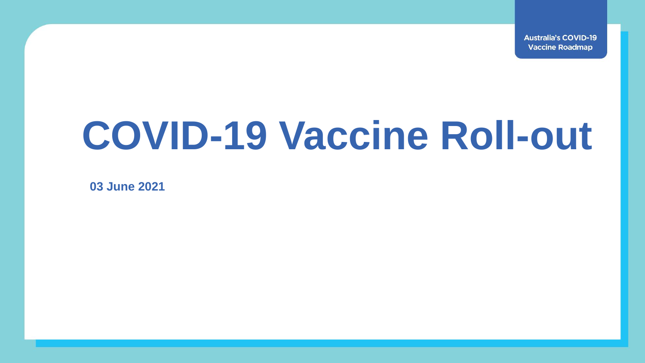**Australia's COVID-19 Vaccine Roadmap** 

## **COVID-19 Vaccine Roll-out**

**03 June 2021**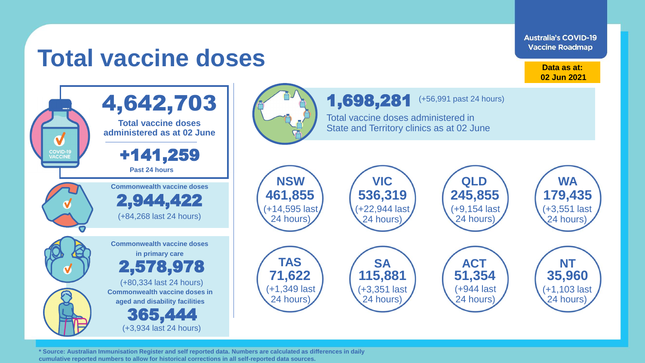**Australia's COVID-19 Vaccine Roadmap** 

## **Total vaccine doses**

**Data as at: 02 Jun 2021**

> (+3,551 last 24 hours)

> (+1,103 last 24 hours)

**TAS SA ACT NT**

1,698,281

Total vaccine doses administered in State and Territory clinics as at 02 June

> (+22,944 last 24 hours)

(+3,351 last 24 hours)

(+56,991 past 24 hours)

(+9,154 last 24 hours)

(+944 last 24 hours)

**NSW**

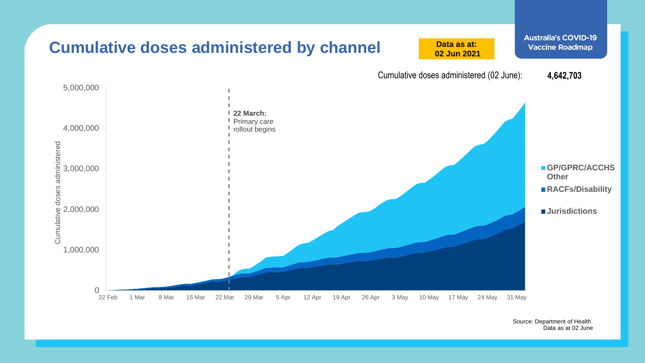

Source: Department of Health Data as at 02 June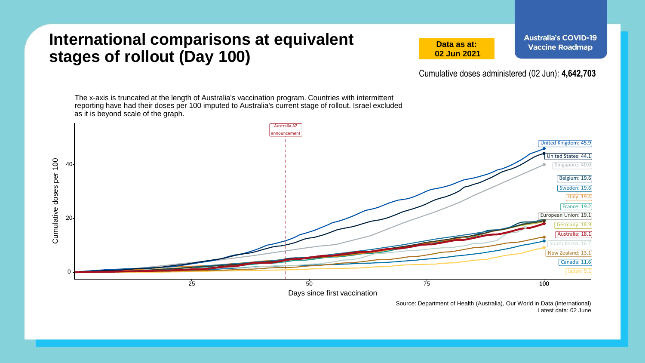## **International comparisons at equivalent stages of rollout (Day 100)**

**Data as at: 02 Jun 2021** **Australia's COVID-19 Vaccine Roadmap** 

Cumulative doses administered (02 Jun): **4,642,703**

The x-axis is truncated at the length of Australia's vaccination program. Countries with intermittent reporting have had their doses per 100 imputed to Australia's current stage of rollout. Israel excluded as it is beyond scale of the graph.



Source: Department of Health (Australia), Our World in Data (international) Latest data: 02 June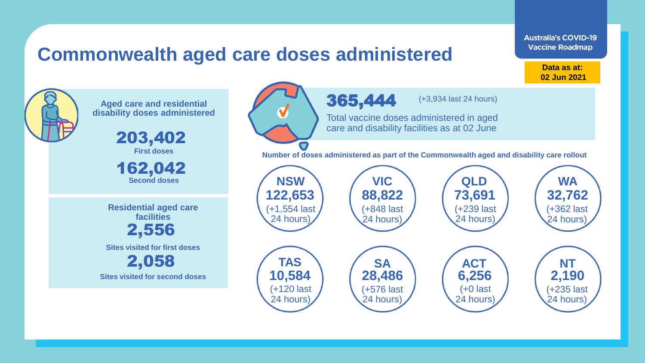## **Commonwealth aged care doses administered**

**Data as at: Data as at: 18 Apr 2021 02 Jun 2021**